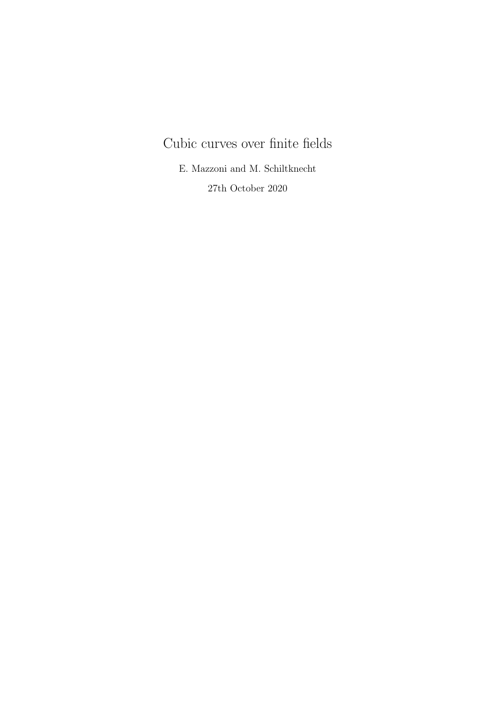# Cubic curves over finite fields

E. Mazzoni and M. Schiltknecht 27th October 2020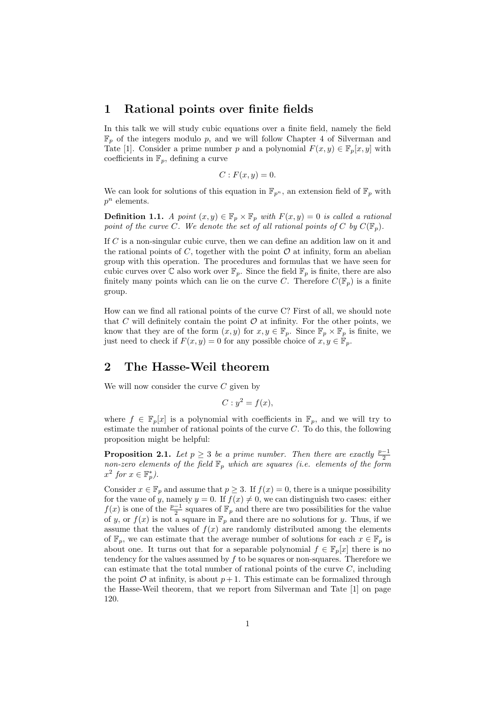#### 1 Rational points over finite fields

In this talk we will study cubic equations over a finite field, namely the field  $\mathbb{F}_p$  of the integers modulo p, and we will follow Chapter 4 of Silverman and Tate [1]. Consider a prime number p and a polynomial  $F(x, y) \in \mathbb{F}_p[x, y]$  with coefficients in  $\mathbb{F}_p$ , defining a curve

$$
C: F(x, y) = 0.
$$

We can look for solutions of this equation in  $\mathbb{F}_{p^n}$ , an extension field of  $\mathbb{F}_p$  with  $p^n$  elements.

**Definition 1.1.** A point  $(x, y) \in \mathbb{F}_p \times \mathbb{F}_p$  with  $F(x, y) = 0$  is called a rational point of the curve C. We denote the set of all rational points of C by  $C(\mathbb{F}_n)$ .

If C is a non-singular cubic curve, then we can define an addition law on it and the rational points of C, together with the point  $\mathcal O$  at infinity, form an abelian group with this operation. The procedures and formulas that we have seen for cubic curves over  $\mathbb C$  also work over  $\mathbb F_p$ . Since the field  $\mathbb F_p$  is finite, there are also finitely many points which can lie on the curve C. Therefore  $C(\mathbb{F}_p)$  is a finite group.

How can we find all rational points of the curve C? First of all, we should note that  $C$  will definitely contain the point  $\mathcal O$  at infinity. For the other points, we know that they are of the form  $(x, y)$  for  $x, y \in \mathbb{F}_p$ . Since  $\mathbb{F}_p \times \mathbb{F}_p$  is finite, we just need to check if  $F(x, y) = 0$  for any possible choice of  $x, y \in \mathbb{F}_p$ .

#### 2 The Hasse-Weil theorem

We will now consider the curve  $C$  given by

 $C: y^2 = f(x),$ 

where  $f \in \mathbb{F}_p[x]$  is a polynomial with coefficients in  $\mathbb{F}_p$ , and we will try to estimate the number of rational points of the curve  $C$ . To do this, the following proposition might be helpful:

**Proposition 2.1.** Let  $p \geq 3$  be a prime number. Then there are exactly  $\frac{p-1}{2}$ non-zero elements of the field  $\mathbb{F}_p$  which are squares (i.e. elements of the form  $x^2$  for  $x \in \mathbb{F}_p^*$ ).

Consider  $x \in \mathbb{F}_p$  and assume that  $p \geq 3$ . If  $f(x) = 0$ , there is a unique possibility for the vaue of y, namely  $y = 0$ . If  $f(x) \neq 0$ , we can distinguish two cases: either  $f(x)$  is one of the  $\frac{p-1}{2}$  squares of  $\mathbb{F}_p$  and there are two possibilities for the value of y, or  $f(x)$  is not a square in  $\mathbb{F}_p$  and there are no solutions for y. Thus, if we assume that the values of  $f(x)$  are randomly distributed among the elements of  $\mathbb{F}_p$ , we can estimate that the average number of solutions for each  $x \in \mathbb{F}_p$  is about one. It turns out that for a separable polynomial  $f \in \mathbb{F}_p[x]$  there is no tendency for the values assumed by  $f$  to be squares or non-squares. Therefore we can estimate that the total number of rational points of the curve  $C$ , including the point  $\mathcal O$  at infinity, is about  $p+1$ . This estimate can be formalized through the Hasse-Weil theorem, that we report from Silverman and Tate [1] on page 120.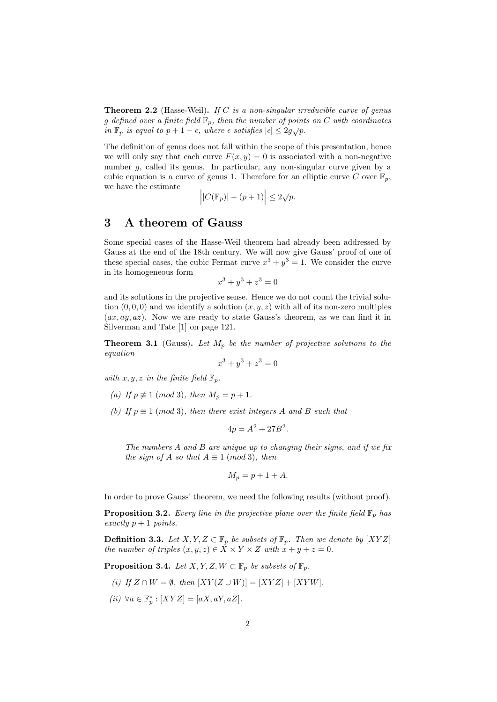**Theorem 2.2** (Hasse-Weil). If C is a non-singular irreducible curve of genus g defined over a finite field  $\mathbb{F}_p$ , then the number of points on C with coordinates in  $\mathbb{F}_p$  is equal to  $p + 1 - \epsilon$ , where  $\epsilon$  satisfies  $|\epsilon| \leq 2g\sqrt{p}$ .

The definition of genus does not fall within the scope of this presentation, hence we will only say that each curve  $F(x, y) = 0$  is associated with a non-negative number g, called its genus. In particular, any non-singular curve given by a cubic equation is a curve of genus 1. Therefore for an elliptic curve C over  $\mathbb{F}_p$ , we have the estimate

$$
\left| |C(\mathbb{F}_p)| - (p+1) \right| \le 2\sqrt{p}.
$$

#### 3 A theorem of Gauss

Some special cases of the Hasse-Weil theorem had already been addressed by Gauss at the end of the 18th century. We will now give Gauss' proof of one of these special cases, the cubic Fermat curve  $x^3 + y^3 = 1$ . We consider the curve in its homogeneous form

$$
x^3 + y^3 + z^3 = 0
$$

and its solutions in the projective sense. Hence we do not count the trivial solution  $(0, 0, 0)$  and we identify a solution  $(x, y, z)$  with all of its non-zero multiples  $(ax, ay, az)$ . Now we are ready to state Gauss's theorem, as we can find it in Silverman and Tate [1] on page 121.

**Theorem 3.1** (Gauss). Let  $M_p$  be the number of projective solutions to the equation

$$
x^3 + y^3 + z^3 = 0
$$

with  $x, y, z$  in the finite field  $\mathbb{F}_p$ .

- (a) If  $p \not\equiv 1 \pmod{3}$ , then  $M_p = p + 1$ .
- (b) If  $p \equiv 1 \pmod{3}$ , then there exist integers A and B such that

$$
4p = A^2 + 27B^2.
$$

The numbers A and B are unique up to changing their signs, and if we fix the sign of A so that  $A \equiv 1 \pmod{3}$ , then

$$
M_p = p + 1 + A.
$$

In order to prove Gauss' theorem, we need the following results (without proof).

**Proposition 3.2.** Every line in the projective plane over the finite field  $\mathbb{F}_p$  has exactly  $p + 1$  points.

**Definition 3.3.** Let  $X, Y, Z \subset \mathbb{F}_p$  be subsets of  $\mathbb{F}_p$ . Then we denote by  $[XYZ]$ the number of triples  $(x, y, z) \in \overline{X} \times Y \times Z$  with  $x + y + z = 0$ .

**Proposition 3.4.** Let  $X, Y, Z, W \subset \mathbb{F}_p$  be subsets of  $\mathbb{F}_p$ .

- (i) If  $Z \cap W = \emptyset$ , then  $[XY(Z \cup W)] = [XYZ] + [XYW]$ .
- (ii)  $\forall a \in \mathbb{F}_p^* : [XYZ] = [aX, aY, aZ].$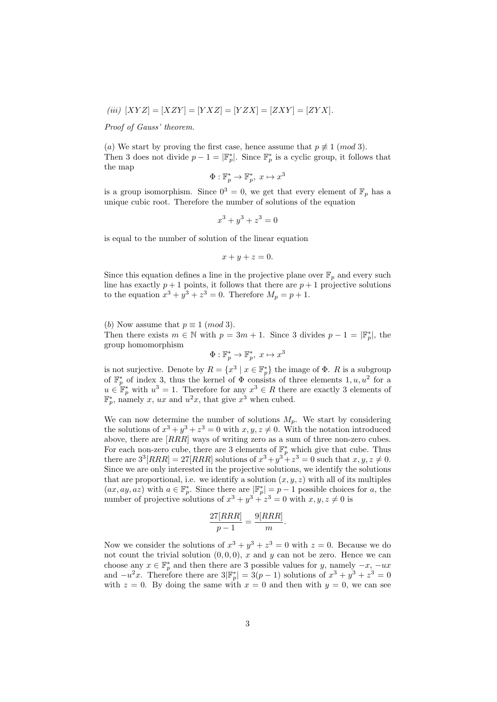$$
(iii) [XYZ] = [XZY] = [YXZ] = [YZX] = [ZXY] = [ZYX].
$$

Proof of Gauss' theorem.

(a) We start by proving the first case, hence assume that  $p \not\equiv 1 \pmod{3}$ . Then 3 does not divide  $p-1=|\mathbb{F}_p^*|$ . Since  $\mathbb{F}_p^*$  is a cyclic group, it follows that the map

$$
\Phi: \mathbb{F}_p^* \to \mathbb{F}_p^*, \ x \mapsto x^3
$$

is a group isomorphism. Since  $0^3 = 0$ , we get that every element of  $\mathbb{F}_p$  has a unique cubic root. Therefore the number of solutions of the equation

$$
x^3 + y^3 + z^3 = 0
$$

is equal to the number of solution of the linear equation

$$
x + y + z = 0.
$$

Since this equation defines a line in the projective plane over  $\mathbb{F}_p$  and every such line has exactly  $p + 1$  points, it follows that there are  $p + 1$  projective solutions to the equation  $x^3 + y^3 + z^3 = 0$ . Therefore  $M_p = p + 1$ .

(b) Now assume that  $p \equiv 1 \pmod{3}$ . Then there exists  $m \in \mathbb{N}$  with  $p = 3m + 1$ . Since 3 divides  $p - 1 = |\mathbb{F}_p^*|$ , the group homomorphism

$$
\Phi: \mathbb{F}_p^* \to \mathbb{F}_p^*, \ x \mapsto x^3
$$

is not surjective. Denote by  $R = \{x^3 \mid x \in \mathbb{F}_p^*\}$  the image of  $\Phi$ . R is a subgroup of  $\mathbb{F}_p^*$  of index 3, thus the kernel of  $\Phi$  consists of three elements 1,  $u, u^2$  for a  $u \in \mathbb{F}_p^*$  with  $u^3 = 1$ . Therefore for any  $x^3 \in R$  there are exactly 3 elements of  $\mathbb{F}_p^*$ , namely x, ux and  $u^2x$ , that give  $x^3$  when cubed.

We can now determine the number of solutions  $M_p$ . We start by considering the solutions of  $x^3 + y^3 + z^3 = 0$  with  $x, y, z \neq 0$ . With the notation introduced above, there are  $[RRR]$  ways of writing zero as a sum of three non-zero cubes. For each non-zero cube, there are 3 elements of  $\mathbb{F}_p^*$  which give that cube. Thus there are  $3^{3}[RRR] = 27[RRR]$  solutions of  $x^{3} + y^{3} + z^{3} = 0$  such that  $x, y, z \neq 0$ . Since we are only interested in the projective solutions, we identify the solutions that are proportional, i.e. we identify a solution  $(x, y, z)$  with all of its multiples  $(ax, ay, az)$  with  $a \in \mathbb{F}_p^*$ . Since there are  $|\mathbb{F}_p^*| = p - 1$  possible choices for a, the number of projective solutions of  $x^3 + y^3 + z^3 = 0$  with  $x, y, z \neq 0$  is

$$
\frac{27[RRR]}{p-1} = \frac{9[RRR]}{m}.
$$

Now we consider the solutions of  $x^3 + y^3 + z^3 = 0$  with  $z = 0$ . Because we do not count the trivial solution  $(0, 0, 0)$ , x and y can not be zero. Hence we can choose any  $x \in \mathbb{F}_p^*$  and then there are 3 possible values for y, namely  $-x$ ,  $-ux$ and  $-u^2x$ . Therefore there are  $3|\mathbb{F}_p^*|=3(p-1)$  solutions of  $x^3+y^3+z^3=0$ with  $z = 0$ . By doing the same with  $x = 0$  and then with  $y = 0$ , we can see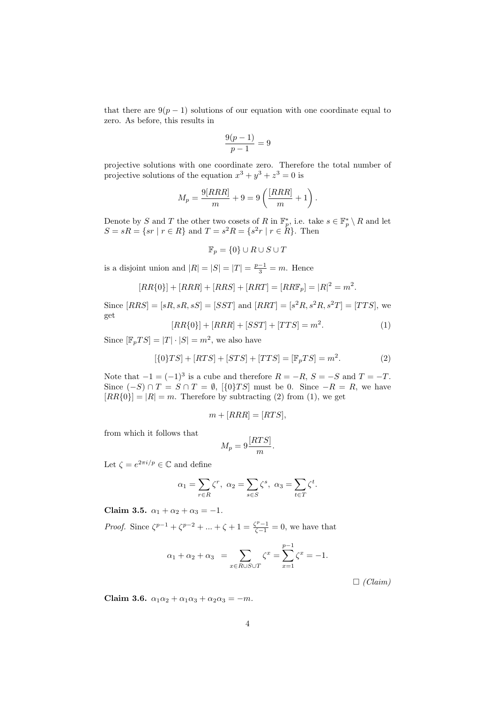that there are  $9(p-1)$  solutions of our equation with one coordinate equal to zero. As before, this results in

$$
\frac{9(p-1)}{p-1} = 9
$$

projective solutions with one coordinate zero. Therefore the total number of projective solutions of the equation  $x^3 + y^3 + z^3 = 0$  is

$$
M_p = \frac{9[RRR]}{m} + 9 = 9\left(\frac{[RRR]}{m} + 1\right).
$$

Denote by S and T the other two cosets of R in  $\mathbb{F}_p^*$ , i.e. take  $s \in \mathbb{F}_p^* \setminus R$  and let  $S = sR = \{sr \mid r \in R\}$  and  $T = s^2 R = \{s^2 r \mid r \in R\}$ . Then

$$
\mathbb{F}_p = \{0\} \cup R \cup S \cup T
$$

is a disjoint union and  $|R| = |S| = |T| = \frac{p-1}{3} = m$ . Hence

$$
[RR{0}] + [RRR] + [RRS] + [RRT] = [RRF_p] = |R|^2 = m^2.
$$

Since  $[RRS] = [sR, sR, sS] = [SST]$  and  $[RRT] = [s^2R, s^2R, s^2T] = [TTS]$ , we get

$$
[RR\{0\}] + [RRR] + [SST] + [TTS] = m^{2}.
$$
 (1)

Since  $[\mathbb{F}_p TS] = |T| \cdot |S| = m^2$ , we also have

$$
[\{0\}TS] + [RTS] + [STS] + [TTS] = [\mathbb{F}_p TS] = m^2.
$$
 (2)

Note that  $-1 = (-1)^3$  is a cube and therefore  $R = -R$ ,  $S = -S$  and  $T = -T$ . Since  $(-S) \cap T = S \cap T = \emptyset$ ,  $[\{0\}TS]$  must be 0. Since  $-R = R$ , we have  $[RR{0}] = |R| = m$ . Therefore by subtracting (2) from (1), we get

$$
m + [RRR] = [RTS],
$$

from which it follows that

$$
M_p = 9 \frac{[RTS]}{m}.
$$

Let  $\zeta = e^{2\pi i/p} \in \mathbb{C}$  and define

$$
\alpha_1 = \sum_{r \in R} \zeta^r, \ \alpha_2 = \sum_{s \in S} \zeta^s, \ \alpha_3 = \sum_{t \in T} \zeta^t.
$$

Claim 3.5.  $\alpha_1 + \alpha_2 + \alpha_3 = -1$ .

*Proof.* Since  $\zeta^{p-1} + \zeta^{p-2} + ... + \zeta + 1 = \frac{\zeta^{p}-1}{\zeta-1} = 0$ , we have that

$$
\alpha_1 + \alpha_2 + \alpha_3 = \sum_{x \in R \cup S \cup T} \zeta^x = \sum_{x=1}^{p-1} \zeta^x = -1.
$$

 $\Box$  (Claim)

Claim 3.6.  $\alpha_1\alpha_2 + \alpha_1\alpha_3 + \alpha_2\alpha_3 = -m$ .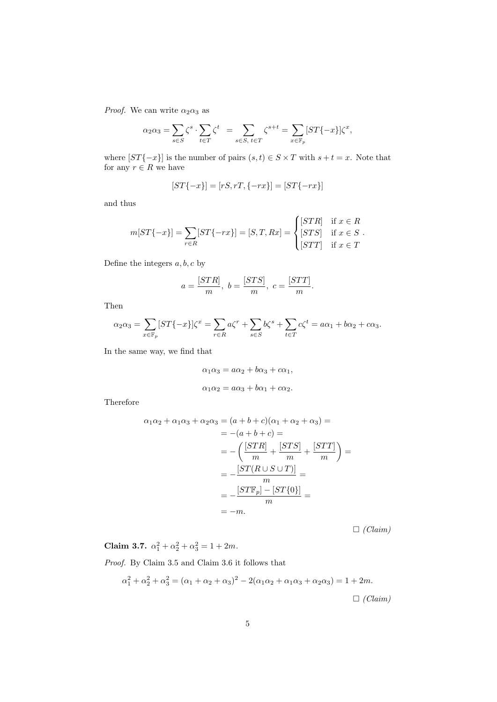*Proof.* We can write  $\alpha_2 \alpha_3$  as

$$
\alpha_2\alpha_3=\sum_{s\in S}\zeta^s\cdot\sum_{t\in T}\zeta^t\ =\sum_{s\in S,\ t\in T}\zeta^{s+t}=\sum_{x\in\mathbb{F}_p}[ST\{-x\}]\zeta^x,
$$

where  $\left[ST\{-x\}\right]$  is the number of pairs  $(s, t) \in S \times T$  with  $s + t = x$ . Note that for any  $r \in R$  we have

$$
[ST\{-x\}] = [rS, rT, \{-rx\}] = [ST\{-rx\}]
$$

and thus

$$
m[ST\{-x\}] = \sum_{r \in R} [ST\{-rx\}] = [S, T, Rx] = \begin{cases} [STR] & \text{if } x \in R \\ [STS] & \text{if } x \in S \\ [STT] & \text{if } x \in T \end{cases}
$$

Define the integers  $a, b, c$  by

$$
a=\frac{[STR]}{m},\ b=\frac{[STS]}{m},\ c=\frac{[STT]}{m}.
$$

Then

$$
\alpha_2 \alpha_3 = \sum_{x \in \mathbb{F}_p} [ST\{-x\}] \zeta^x = \sum_{r \in R} a \zeta^r + \sum_{s \in S} b \zeta^s + \sum_{t \in T} c \zeta^t = a\alpha_1 + b\alpha_2 + c\alpha_3.
$$

In the same way, we find that

$$
\alpha_1 \alpha_3 = a\alpha_2 + b\alpha_3 + c\alpha_1,
$$
  

$$
\alpha_1 \alpha_2 = a\alpha_3 + b\alpha_1 + c\alpha_2.
$$

Therefore

$$
\alpha_1 \alpha_2 + \alpha_1 \alpha_3 + \alpha_2 \alpha_3 = (a + b + c)(\alpha_1 + \alpha_2 + \alpha_3) =
$$
  
= -(a + b + c) =  
= -\left(\frac{[STR]}{m} + \frac{[STS]}{m} + \frac{[STT]}{m}\right) =  
= -\frac{[ST(R \cup S \cup T)]}{m} =  
= -\frac{[ST\mathbb{F}\_p] - [ST\{0\}]}{m} =  
= -m.

 $\Box$  (Claim)

Claim 3.7.  $\alpha_1^2 + \alpha_2^2 + \alpha_3^2 = 1 + 2m$ .

Proof. By Claim 3.5 and Claim 3.6 it follows that

$$
\alpha_1^2 + \alpha_2^2 + \alpha_3^2 = (\alpha_1 + \alpha_2 + \alpha_3)^2 - 2(\alpha_1 \alpha_2 + \alpha_1 \alpha_3 + \alpha_2 \alpha_3) = 1 + 2m.
$$
  

$$
\Box \text{ (Claim)}
$$

5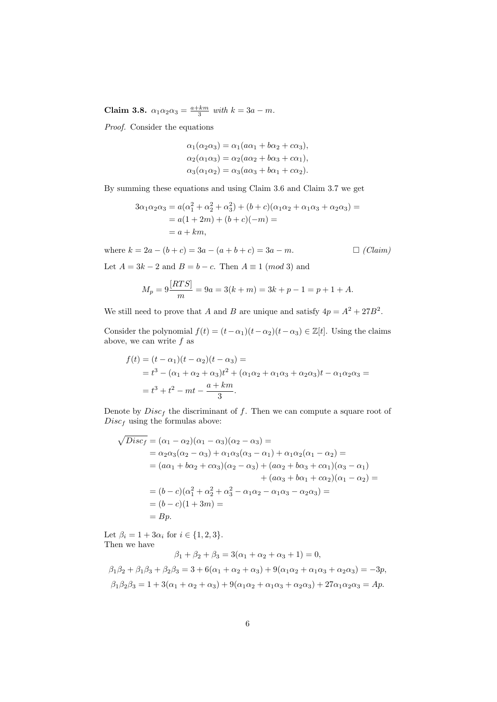Claim 3.8.  $\alpha_1 \alpha_2 \alpha_3 = \frac{a+km}{3}$  with  $k = 3a - m$ .

Proof. Consider the equations

$$
\alpha_1(\alpha_2\alpha_3) = \alpha_1(a\alpha_1 + b\alpha_2 + c\alpha_3),
$$
  
\n
$$
\alpha_2(\alpha_1\alpha_3) = \alpha_2(a\alpha_2 + b\alpha_3 + c\alpha_1),
$$
  
\n
$$
\alpha_3(\alpha_1\alpha_2) = \alpha_3(a\alpha_3 + b\alpha_1 + c\alpha_2).
$$

By summing these equations and using Claim 3.6 and Claim 3.7 we get

$$
3\alpha_1 \alpha_2 \alpha_3 = a(\alpha_1^2 + \alpha_2^2 + \alpha_3^2) + (b + c)(\alpha_1 \alpha_2 + \alpha_1 \alpha_3 + \alpha_2 \alpha_3) =
$$
  
= a(1 + 2m) + (b + c)(-m) =  
= a + km,

where  $k = 2a - (b + c) = 3a - (a + b + c) = 3a - m$ .  $\Box$  (Claim)

Let  $A = 3k - 2$  and  $B = b - c$ . Then  $A \equiv 1 \pmod{3}$  and

$$
M_p = 9\frac{[RTS]}{m} = 9a = 3(k+m) = 3k + p - 1 = p + 1 + A.
$$

We still need to prove that A and B are unique and satisfy  $4p = A^2 + 27B^2$ .

Consider the polynomial  $f(t) = (t - \alpha_1)(t - \alpha_2)(t - \alpha_3) \in \mathbb{Z}[t]$ . Using the claims above, we can write  $f$  as

$$
f(t) = (t - \alpha_1)(t - \alpha_2)(t - \alpha_3) =
$$
  
=  $t^3 - (\alpha_1 + \alpha_2 + \alpha_3)t^2 + (\alpha_1\alpha_2 + \alpha_1\alpha_3 + \alpha_2\alpha_3)t - \alpha_1\alpha_2\alpha_3 =$   
=  $t^3 + t^2 - mt - \frac{a + km}{3}$ .

Denote by  $Disc_f$  the discriminant of f. Then we can compute a square root of  $Disc<sub>f</sub>$  using the formulas above:

$$
\sqrt{Disc_f} = (\alpha_1 - \alpha_2)(\alpha_1 - \alpha_3)(\alpha_2 - \alpha_3) =
$$
  
=  $\alpha_2 \alpha_3(\alpha_2 - \alpha_3) + \alpha_1 \alpha_3(\alpha_3 - \alpha_1) + \alpha_1 \alpha_2(\alpha_1 - \alpha_2) =$   
=  $(a\alpha_1 + b\alpha_2 + c\alpha_3)(\alpha_2 - \alpha_3) + (a\alpha_2 + b\alpha_3 + c\alpha_1)(\alpha_3 - \alpha_1) + (a\alpha_3 + b\alpha_1 + c\alpha_2)(\alpha_1 - \alpha_2) =$   
=  $(b - c)(\alpha_1^2 + \alpha_2^2 + \alpha_3^2 - \alpha_1 \alpha_2 - \alpha_1 \alpha_3 - \alpha_2 \alpha_3) =$   
=  $(b - c)(1 + 3m) =$   
=  $By$ .

Let  $\beta_i = 1 + 3\alpha_i$  for  $i \in \{1, 2, 3\}.$ Then we have

 $\beta_1 + \beta_2 + \beta_3 = 3(\alpha_1 + \alpha_2 + \alpha_3 + 1) = 0$ 

β1β<sup>2</sup> + β1β<sup>3</sup> + β2β<sup>3</sup> = 3 + 6(α<sup>1</sup> + α<sup>2</sup> + α3) + 9(α1α<sup>2</sup> + α1α<sup>3</sup> + α2α3) = −3p,  $\beta_1 \beta_2 \beta_3 = 1 + 3(\alpha_1 + \alpha_2 + \alpha_3) + 9(\alpha_1 \alpha_2 + \alpha_1 \alpha_3 + \alpha_2 \alpha_3) + 27\alpha_1 \alpha_2 \alpha_3 = Ap.$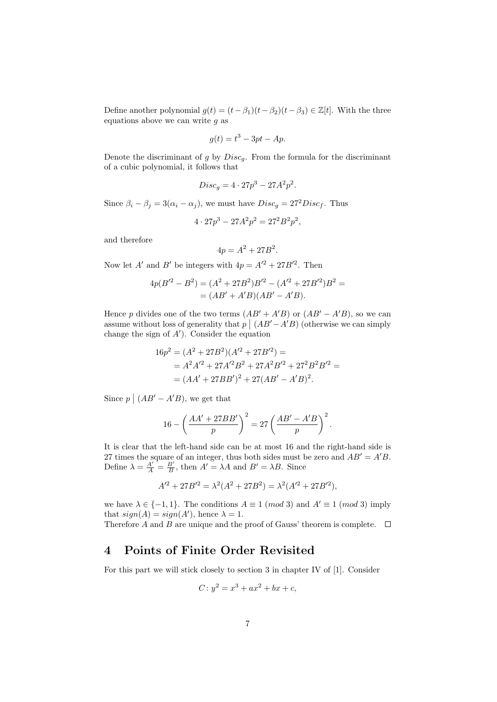Define another polynomial  $g(t) = (t - \beta_1)(t - \beta_2)(t - \beta_3) \in \mathbb{Z}[t]$ . With the three equations above we can write  $q$  as

$$
g(t) = t^3 - 3pt - Ap.
$$

Denote the discriminant of g by  $Disc<sub>g</sub>$ . From the formula for the discriminant of a cubic polynomial, it follows that

$$
Discg = 4 \cdot 27p3 - 27A2p2.
$$

Since  $\beta_i - \beta_j = 3(\alpha_i - \alpha_j)$ , we must have  $Disc_g = 27^2 Disc_f$ . Thus

 $4 \cdot 27p^3 - 27A^2p^2 = 27^2B^2p^2$ ,

and therefore

$$
4p = A^2 + 27B^2.
$$

Now let A' and B' be integers with  $4p = A'^2 + 27B'^2$ . Then

$$
4p(B'^{2} - B^{2}) = (A^{2} + 27B^{2})B'^{2} - (A'^{2} + 27B'^{2})B^{2} =
$$

$$
= (AB' + A'B)(AB' - A'B).
$$

Hence p divides one of the two terms  $(AB' + A'B)$  or  $(AB' - A'B)$ , so we can assume without loss of generality that  $p \mid (AB' - A'B)$  (otherwise we can simply change the sign of  $A'$ ). Consider the equation

$$
16p2 = (A2 + 27B2)(A2 + 27B2) =
$$
  
= A<sup>2</sup>A<sup>2</sup> + 27A<sup>2</sup>B<sup>2</sup> + 27A<sup>2</sup>B<sup>2</sup> + 27<sup>2</sup>B<sup>2</sup>B<sup>2</sup> =  
= (AA' + 27BB')<sup>2</sup> + 27(AB' - A'B)<sup>2</sup>.

Since  $p \mid (AB' - A'B)$ , we get that

$$
16 - \left(\frac{AA' + 27BB'}{p}\right)^2 = 27\left(\frac{AB' - A'B}{p}\right)^2.
$$

It is clear that the left-hand side can be at most 16 and the right-hand side is 27 times the square of an integer, thus both sides must be zero and  $AB' = A'B$ . Define  $\lambda = \frac{A'}{A} = \frac{B'}{B}$ , then  $A' = \lambda A$  and  $B' = \lambda B$ . Since

$$
A'^{2} + 27B'^{2} = \lambda^{2}(A^{2} + 27B^{2}) = \lambda^{2}(A'^{2} + 27B'^{2}),
$$

we have  $\lambda \in \{-1, 1\}$ . The conditions  $A \equiv 1 \pmod{3}$  and  $A' \equiv 1 \pmod{3}$  imply that  $sign(A) = sign(A')$ , hence  $\lambda = 1$ .

Therefore A and B are unique and the proof of Gauss' theorem is complete.  $\Box$ 

#### 4 Points of Finite Order Revisited

For this part we will stick closely to section 3 in chapter IV of [1]. Consider

$$
C: y^2 = x^3 + ax^2 + bx + c,
$$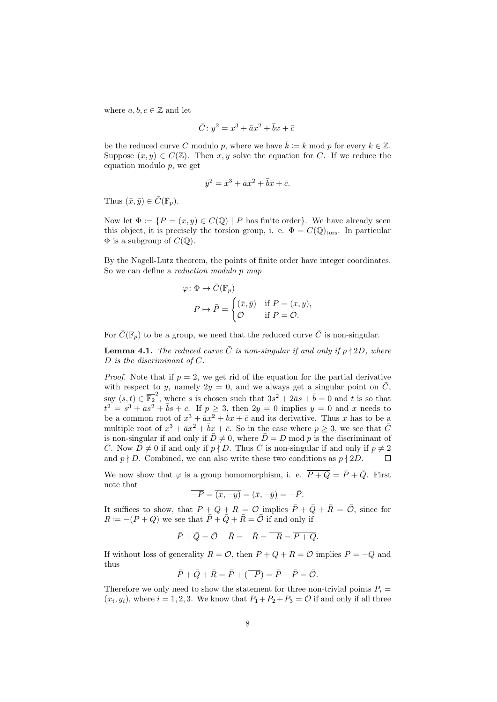where  $a, b, c \in \mathbb{Z}$  and let

$$
\bar{C}: y^2 = x^3 + \bar{a}x^2 + \bar{b}x + \bar{c}
$$

be the reduced curve C modulo p, where we have  $\bar{k} \coloneqq k \mod p$  for every  $k \in \mathbb{Z}$ . Suppose  $(x, y) \in C(\mathbb{Z})$ . Then x, y solve the equation for C. If we reduce the equation modulo p, we get

$$
\bar{y}^2 = \bar{x}^3 + \bar{a}\bar{x}^2 + \bar{b}\bar{x} + \bar{c}.
$$

Thus  $(\bar{x}, \bar{y}) \in \bar{C}(\mathbb{F}_p)$ .

Now let  $\Phi := \{ P = (x, y) \in C(\mathbb{Q}) \mid P \text{ has finite order} \}.$  We have already seen this object, it is precisely the torsion group, i. e.  $\Phi = C(\mathbb{Q})_{\text{tors}}$ . In particular  $\Phi$  is a subgroup of  $C(\mathbb{Q})$ .

By the Nagell-Lutz theorem, the points of finite order have integer coordinates. So we can define a *reduction modulo p map* 

$$
\varphi \colon \Phi \to \bar{C}(\mathbb{F}_p)
$$

$$
P \mapsto \bar{P} = \begin{cases} (\bar{x}, \bar{y}) & \text{if } P = (x, y), \\ \bar{O} & \text{if } P = \mathcal{O}. \end{cases}
$$

For  $\overline{C}(\mathbb{F}_n)$  to be a group, we need that the reduced curve  $\overline{C}$  is non-singular.

**Lemma 4.1.** The reduced curve  $\overline{C}$  is non-singular if and only if  $p \nmid 2D$ , where  $D$  is the discriminant of  $C$ .

*Proof.* Note that if  $p = 2$ , we get rid of the equation for the partial derivative with respect to y, namely  $2y = 0$ , and we always get a singular point on  $\overline{C}$ , say  $(s,t) \in \overline{\mathbb{F}_2}^2$ , where s is chosen such that  $3s^2 + 2\bar{a}s + \bar{b} = 0$  and t is so that  $t^2 = s^3 + \bar{a}s^2 + \bar{b}s + \bar{c}$ . If  $p \geq 3$ , then  $2y = 0$  implies  $y = 0$  and x needs to be a common root of  $x^3 + \bar{a}x^2 + \bar{b}x + \bar{c}$  and its derivative. Thus x has to be a multiple root of  $x^3 + \bar{a}x^2 + \bar{b}x + \bar{c}$ . So in the case where  $p \geq 3$ , we see that  $\bar{C}$ is non-singular if and only if  $\bar{D} \neq 0$ , where  $\bar{D} = D \mod p$  is the discriminant of  $\overline{C}$ . Now  $\overline{D} \neq 0$  if and only if  $p \nmid D$ . Thus  $\overline{C}$  is non-singular if and only if  $p \neq 2$ and  $p \nmid D$ . Combined, we can also write these two conditions as  $p \nmid 2D$ .  $\Box$ 

We now show that  $\varphi$  is a group homomorphism, i. e.  $\overline{P+Q} = \overline{P} + \overline{Q}$ . First note that

$$
\overline{-P} = \overline{(x, -y)} = (\bar{x}, -\bar{y}) = -\bar{P}.
$$

It suffices to show, that  $P + Q + R = \mathcal{O}$  implies  $\overline{P} + \overline{Q} + \overline{R} = \overline{\mathcal{O}}$ , since for  $R = -(P+Q)$  we see that  $\overline{P} + \overline{Q} + \overline{R} = \overline{O}$  if and only if

$$
\bar{P} + \bar{Q} = \bar{O} - \bar{R} = -\bar{R} = \overline{-R} = \overline{P + Q}.
$$

If without loss of generality  $R = \mathcal{O}$ , then  $P + Q + R = \mathcal{O}$  implies  $P = -Q$  and thus

$$
\overline{P} + \overline{Q} + \overline{R} = \overline{P} + (\overline{-P}) = \overline{P} - \overline{P} = \overline{O}.
$$

Therefore we only need to show the statement for three non-trivial points  $P_i =$  $(x_i, y_i)$ , where  $i = 1, 2, 3$ . We know that  $P_1 + P_2 + P_3 = \mathcal{O}$  if and only if all three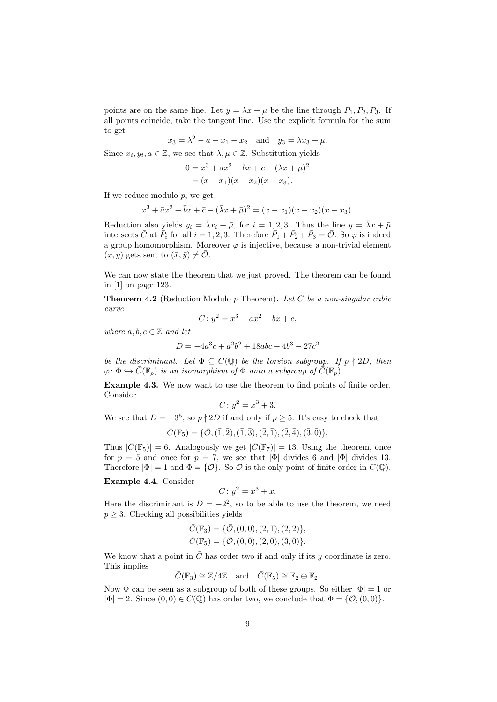points are on the same line. Let  $y = \lambda x + \mu$  be the line through  $P_1, P_2, P_3$ . If all points coincide, take the tangent line. Use the explicit formula for the sum to get

$$
x_3 = \lambda^2 - a - x_1 - x_2
$$
 and  $y_3 = \lambda x_3 + \mu$ .

Since  $x_i, y_i, a \in \mathbb{Z}$ , we see that  $\lambda, \mu \in \mathbb{Z}$ . Substitution yields

$$
0 = x3 + ax2 + bx + c - (\lambda x + \mu)2
$$
  
=  $(x - x1)(x - x2)(x - x3).$ 

If we reduce modulo  $p$ , we get

$$
x3 + \overline{a}x2 + \overline{b}x + \overline{c} - (\overline{\lambda}x + \overline{\mu})2 = (x - \overline{x_1})(x - \overline{x_2})(x - \overline{x_3}).
$$

Reduction also yields  $\overline{y_i} = \overline{\lambda} \overline{x_i} + \overline{\mu}$ , for  $i = 1, 2, 3$ . Thus the line  $y = \overline{\lambda} x + \overline{\mu}$ intersects  $\bar{C}$  at  $\bar{P}_i$  for all  $i = 1, 2, 3$ . Therefore  $\bar{P}_1 + \bar{P}_2 + \bar{P}_3 = \bar{C}$ . So  $\varphi$  is indeed a group homomorphism. Moreover  $\varphi$  is injective, because a non-trivial element  $(x, y)$  gets sent to  $(\bar{x}, \bar{y}) \neq \bar{\mathcal{O}}$ .

We can now state the theorem that we just proved. The theorem can be found in [1] on page 123.

**Theorem 4.2** (Reduction Modulo  $p$  Theorem). Let  $C$  be a non-singular cubic curve

$$
C: y^2 = x^3 + ax^2 + bx + c,
$$

where  $a, b, c \in \mathbb{Z}$  and let

$$
D = -4a^3c + a^2b^2 + 18abc - 4b^3 - 27c^2
$$

be the discriminant. Let  $\Phi \subseteq C(\mathbb{Q})$  be the torsion subgroup. If  $p \nmid 2D$ , then  $\varphi: \Phi \hookrightarrow \overline{C}(\mathbb{F}_p)$  is an isomorphism of  $\Phi$  onto a subgroup of  $\overline{C}(\mathbb{F}_p)$ .

Example 4.3. We now want to use the theorem to find points of finite order. Consider

$$
C: y^2 = x^3 + 3.
$$

We see that  $D = -3^5$ , so  $p \nmid 2D$  if and only if  $p \geq 5$ . It's easy to check that

$$
\bar{C}(\mathbb{F}_5) = \{ \bar{\mathcal{O}}, (\bar{1}, \bar{2}), (\bar{1}, \bar{3}), (\bar{2}, \bar{1}), (\bar{2}, \bar{4}), (\bar{3}, \bar{0}) \}.
$$

Thus  $|\bar{C}(\mathbb{F}_5)| = 6$ . Analogously we get  $|\bar{C}(\mathbb{F}_7)| = 13$ . Using the theorem, once for  $p = 5$  and once for  $p = 7$ , we see that  $|\Phi|$  divides 6 and  $|\Phi|$  divides 13. Therefore  $|\Phi| = 1$  and  $\Phi = \{O\}$ . So O is the only point of finite order in  $C(\mathbb{Q})$ .

#### Example 4.4. Consider

$$
C: y^2 = x^3 + x.
$$

Here the discriminant is  $D = -2^2$ , so to be able to use the theorem, we need  $p \geq 3$ . Checking all possibilities yields

$$
\bar{C}(\mathbb{F}_3) = \{ \bar{O}, (\bar{0}, \bar{0}), (\bar{2}, \bar{1}), (\bar{2}, \bar{2}) \}, \bar{C}(\mathbb{F}_5) = \{ \bar{O}, (\bar{0}, \bar{0}), (\bar{2}, \bar{0}), (\bar{3}, \bar{0}) \}.
$$

We know that a point in  $\overline{C}$  has order two if and only if its y coordinate is zero. This implies

$$
\bar{C}(\mathbb{F}_3) \cong \mathbb{Z}/4\mathbb{Z} \text{ and } \bar{C}(\mathbb{F}_5) \cong \mathbb{F}_2 \oplus \mathbb{F}_2.
$$

Now  $\Phi$  can be seen as a subgroup of both of these groups. So either  $|\Phi|=1$  or  $|\Phi| = 2$ . Since  $(0,0) \in C(\mathbb{Q})$  has order two, we conclude that  $\Phi = \{0, (0,0)\}.$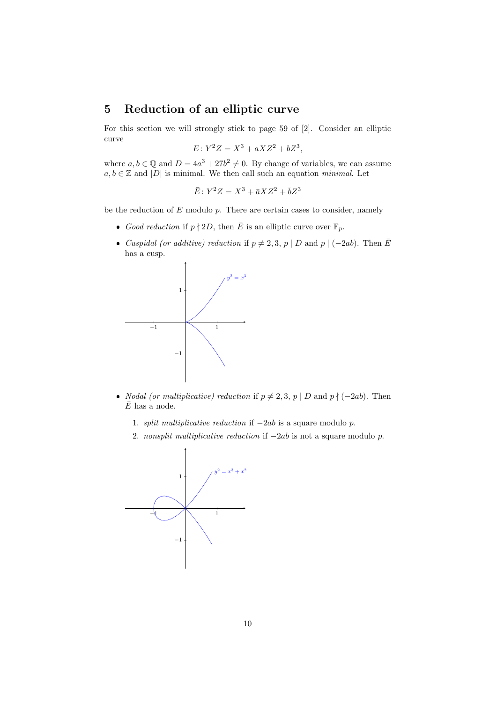### 5 Reduction of an elliptic curve

For this section we will strongly stick to page 59 of [2]. Consider an elliptic curve

$$
E: Y^2 Z = X^3 + aXZ^2 + bZ^3,
$$

where  $a, b \in \mathbb{Q}$  and  $D = 4a^3 + 27b^2 \neq 0$ . By change of variables, we can assume  $a, b \in \mathbb{Z}$  and  $|D|$  is minimal. We then call such an equation *minimal*. Let

$$
\bar{E} \colon Y^2 Z = X^3 + \bar{a} X Z^2 + \bar{b} Z^3
$$

be the reduction of  $E$  modulo  $p$ . There are certain cases to consider, namely

- Good reduction if  $p \nmid 2D$ , then  $\overline{E}$  is an elliptic curve over  $\mathbb{F}_p$ .
- Cuspidal (or additive) reduction if  $p \neq 2, 3, p | D$  and  $p | (-2ab)$ . Then  $\overline{E}$ has a cusp.



- *Nodal (or multiplicative) reduction* if  $p \neq 2, 3, p \mid D$  and  $p \nmid (-2ab)$ . Then  $\bar{E}$  has a node.
	- 1. split multiplicative reduction if −2ab is a square modulo p.
	- 2. nonsplit multiplicative reduction if  $-2ab$  is not a square modulo p.